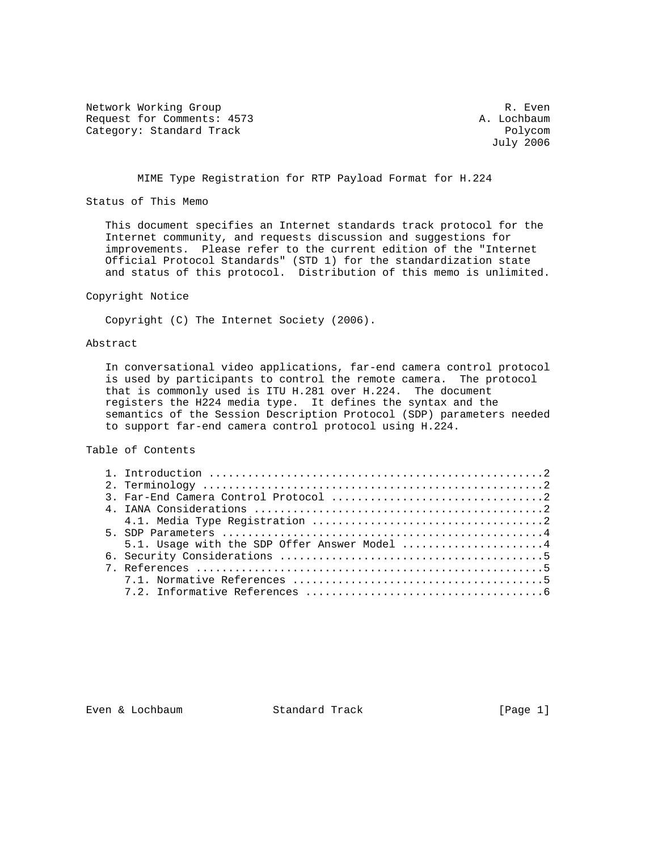Network Working Group and the contract of the contract of the R. Even Request for Comments: 4573 A. Lochbaum Category: Standard Track Polycom Polycom

July 2006

MIME Type Registration for RTP Payload Format for H.224

Status of This Memo

 This document specifies an Internet standards track protocol for the Internet community, and requests discussion and suggestions for improvements. Please refer to the current edition of the "Internet Official Protocol Standards" (STD 1) for the standardization state and status of this protocol. Distribution of this memo is unlimited.

### Copyright Notice

Copyright (C) The Internet Society (2006).

# Abstract

 In conversational video applications, far-end camera control protocol is used by participants to control the remote camera. The protocol that is commonly used is ITU H.281 over H.224. The document registers the H224 media type. It defines the syntax and the semantics of the Session Description Protocol (SDP) parameters needed to support far-end camera control protocol using H.224.

Table of Contents

|  | 5.1. Usage with the SDP Offer Answer Model 4 |  |
|--|----------------------------------------------|--|
|  |                                              |  |
|  |                                              |  |
|  |                                              |  |
|  |                                              |  |

Even & Lochbaum Standard Track [Page 1]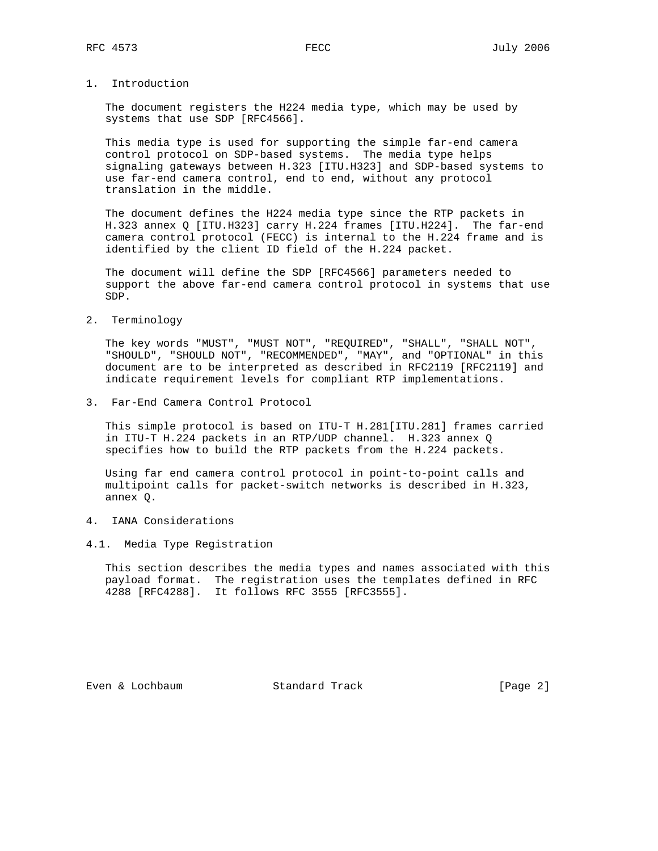# 1. Introduction

 The document registers the H224 media type, which may be used by systems that use SDP [RFC4566].

 This media type is used for supporting the simple far-end camera control protocol on SDP-based systems. The media type helps signaling gateways between H.323 [ITU.H323] and SDP-based systems to use far-end camera control, end to end, without any protocol translation in the middle.

 The document defines the H224 media type since the RTP packets in H.323 annex Q [ITU.H323] carry H.224 frames [ITU.H224]. The far-end camera control protocol (FECC) is internal to the H.224 frame and is identified by the client ID field of the H.224 packet.

 The document will define the SDP [RFC4566] parameters needed to support the above far-end camera control protocol in systems that use SDP.

2. Terminology

 The key words "MUST", "MUST NOT", "REQUIRED", "SHALL", "SHALL NOT", "SHOULD", "SHOULD NOT", "RECOMMENDED", "MAY", and "OPTIONAL" in this document are to be interpreted as described in RFC2119 [RFC2119] and indicate requirement levels for compliant RTP implementations.

3. Far-End Camera Control Protocol

 This simple protocol is based on ITU-T H.281[ITU.281] frames carried in ITU-T H.224 packets in an RTP/UDP channel. H.323 annex Q specifies how to build the RTP packets from the H.224 packets.

 Using far end camera control protocol in point-to-point calls and multipoint calls for packet-switch networks is described in H.323, annex Q.

- 4. IANA Considerations
- 4.1. Media Type Registration

 This section describes the media types and names associated with this payload format. The registration uses the templates defined in RFC 4288 [RFC4288]. It follows RFC 3555 [RFC3555].

Even & Lochbaum Standard Track [Page 2]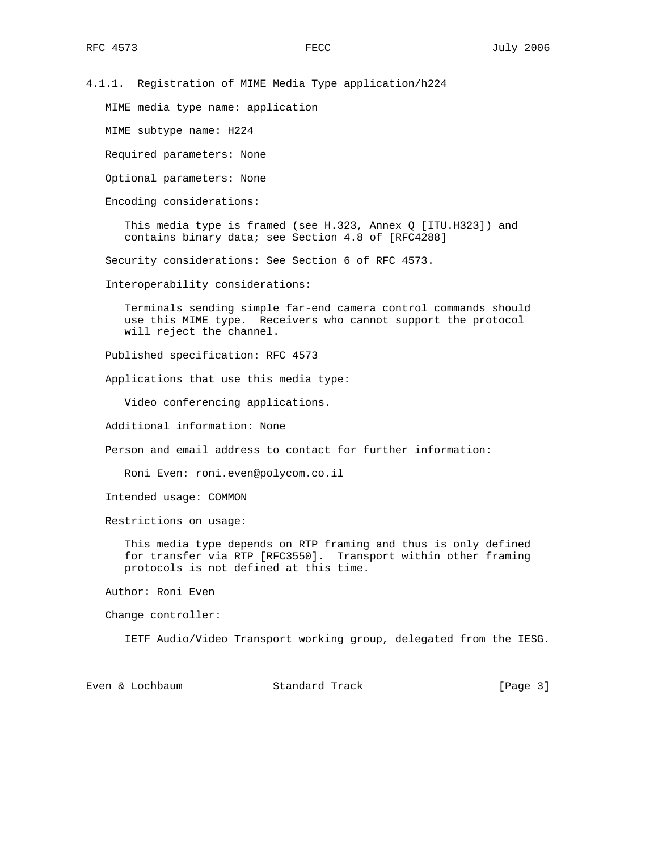4.1.1. Registration of MIME Media Type application/h224

MIME media type name: application

MIME subtype name: H224

Required parameters: None

Optional parameters: None

Encoding considerations:

This media type is framed (see H.323, Annex Q [ITU.H323]) and contains binary data; see Section 4.8 of [RFC4288]

Security considerations: See Section 6 of RFC 4573.

Interoperability considerations:

 Terminals sending simple far-end camera control commands should use this MIME type. Receivers who cannot support the protocol will reject the channel.

Published specification: RFC 4573

Applications that use this media type:

Video conferencing applications.

Additional information: None

Person and email address to contact for further information:

Roni Even: roni.even@polycom.co.il

Intended usage: COMMON

Restrictions on usage:

 This media type depends on RTP framing and thus is only defined for transfer via RTP [RFC3550]. Transport within other framing protocols is not defined at this time.

Author: Roni Even

Change controller:

IETF Audio/Video Transport working group, delegated from the IESG.

Even & Lochbaum Standard Track [Page 3]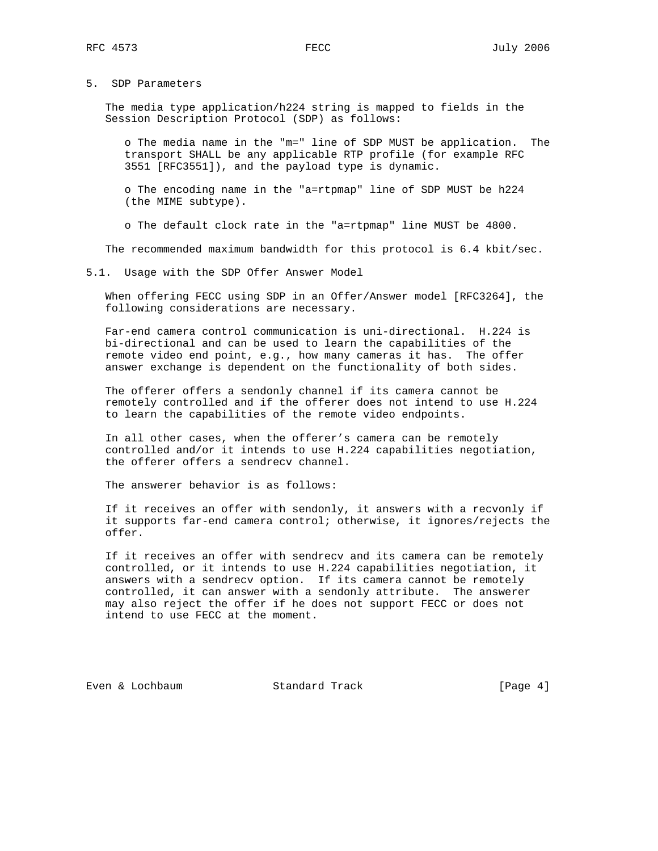#### 5. SDP Parameters

 The media type application/h224 string is mapped to fields in the Session Description Protocol (SDP) as follows:

 o The media name in the "m=" line of SDP MUST be application. The transport SHALL be any applicable RTP profile (for example RFC 3551 [RFC3551]), and the payload type is dynamic.

 o The encoding name in the "a=rtpmap" line of SDP MUST be h224 (the MIME subtype).

o The default clock rate in the "a=rtpmap" line MUST be 4800.

The recommended maximum bandwidth for this protocol is 6.4 kbit/sec.

5.1. Usage with the SDP Offer Answer Model

 When offering FECC using SDP in an Offer/Answer model [RFC3264], the following considerations are necessary.

 Far-end camera control communication is uni-directional. H.224 is bi-directional and can be used to learn the capabilities of the remote video end point, e.g., how many cameras it has. The offer answer exchange is dependent on the functionality of both sides.

 The offerer offers a sendonly channel if its camera cannot be remotely controlled and if the offerer does not intend to use H.224 to learn the capabilities of the remote video endpoints.

 In all other cases, when the offerer's camera can be remotely controlled and/or it intends to use H.224 capabilities negotiation, the offerer offers a sendrecv channel.

The answerer behavior is as follows:

 If it receives an offer with sendonly, it answers with a recvonly if it supports far-end camera control; otherwise, it ignores/rejects the offer.

 If it receives an offer with sendrecv and its camera can be remotely controlled, or it intends to use H.224 capabilities negotiation, it answers with a sendrecv option. If its camera cannot be remotely controlled, it can answer with a sendonly attribute. The answerer may also reject the offer if he does not support FECC or does not intend to use FECC at the moment.

Even & Lochbaum Standard Track [Page 4]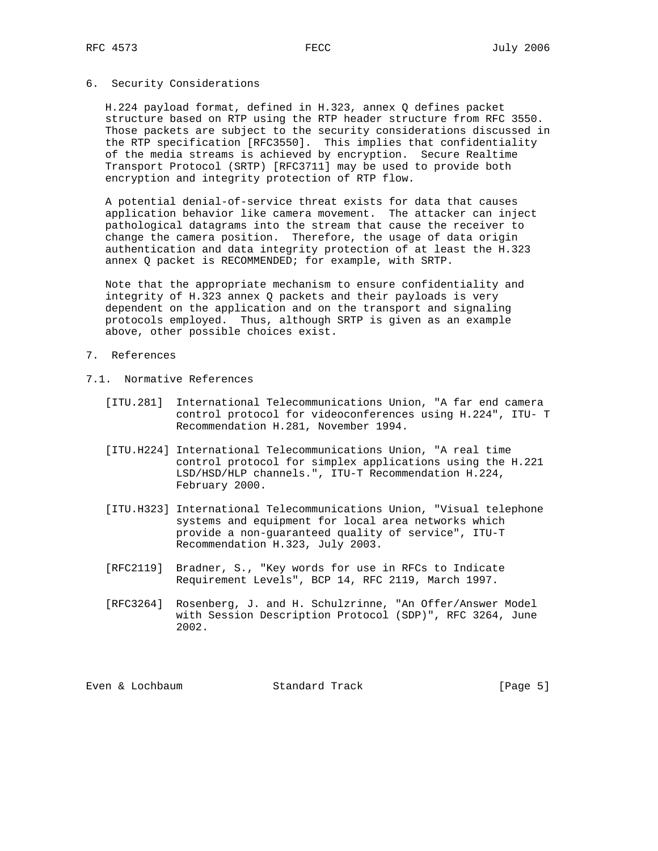#### 6. Security Considerations

 H.224 payload format, defined in H.323, annex Q defines packet structure based on RTP using the RTP header structure from RFC 3550. Those packets are subject to the security considerations discussed in the RTP specification [RFC3550]. This implies that confidentiality of the media streams is achieved by encryption. Secure Realtime Transport Protocol (SRTP) [RFC3711] may be used to provide both encryption and integrity protection of RTP flow.

 A potential denial-of-service threat exists for data that causes application behavior like camera movement. The attacker can inject pathological datagrams into the stream that cause the receiver to change the camera position. Therefore, the usage of data origin authentication and data integrity protection of at least the H.323 annex Q packet is RECOMMENDED; for example, with SRTP.

 Note that the appropriate mechanism to ensure confidentiality and integrity of H.323 annex Q packets and their payloads is very dependent on the application and on the transport and signaling protocols employed. Thus, although SRTP is given as an example above, other possible choices exist.

- 7. References
- 7.1. Normative References
	- [ITU.281] International Telecommunications Union, "A far end camera control protocol for videoconferences using H.224", ITU- T Recommendation H.281, November 1994.
	- [ITU.H224] International Telecommunications Union, "A real time control protocol for simplex applications using the H.221 LSD/HSD/HLP channels.", ITU-T Recommendation H.224, February 2000.
	- [ITU.H323] International Telecommunications Union, "Visual telephone systems and equipment for local area networks which provide a non-guaranteed quality of service", ITU-T Recommendation H.323, July 2003.
	- [RFC2119] Bradner, S., "Key words for use in RFCs to Indicate Requirement Levels", BCP 14, RFC 2119, March 1997.
	- [RFC3264] Rosenberg, J. and H. Schulzrinne, "An Offer/Answer Model with Session Description Protocol (SDP)", RFC 3264, June 2002.

| Standard Track<br>Even & Lochbaum | [Page $5$ ] |  |  |
|-----------------------------------|-------------|--|--|
|-----------------------------------|-------------|--|--|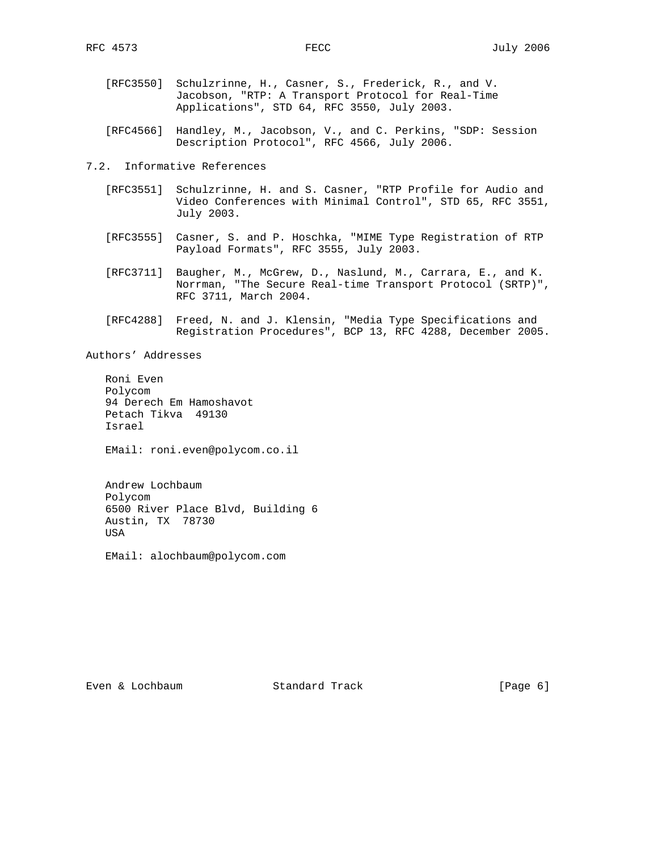- [RFC3550] Schulzrinne, H., Casner, S., Frederick, R., and V. Jacobson, "RTP: A Transport Protocol for Real-Time Applications", STD 64, RFC 3550, July 2003.
- [RFC4566] Handley, M., Jacobson, V., and C. Perkins, "SDP: Session Description Protocol", RFC 4566, July 2006.

7.2. Informative References

- [RFC3551] Schulzrinne, H. and S. Casner, "RTP Profile for Audio and Video Conferences with Minimal Control", STD 65, RFC 3551, July 2003.
- [RFC3555] Casner, S. and P. Hoschka, "MIME Type Registration of RTP Payload Formats", RFC 3555, July 2003.
	- [RFC3711] Baugher, M., McGrew, D., Naslund, M., Carrara, E., and K. Norrman, "The Secure Real-time Transport Protocol (SRTP)", RFC 3711, March 2004.
	- [RFC4288] Freed, N. and J. Klensin, "Media Type Specifications and Registration Procedures", BCP 13, RFC 4288, December 2005.

Authors' Addresses

 Roni Even Polycom 94 Derech Em Hamoshavot Petach Tikva 49130 Israel

EMail: roni.even@polycom.co.il

 Andrew Lochbaum Polycom 6500 River Place Blvd, Building 6 Austin, TX 78730 USA

EMail: alochbaum@polycom.com

Even & Lochbaum Standard Track [Page 6]